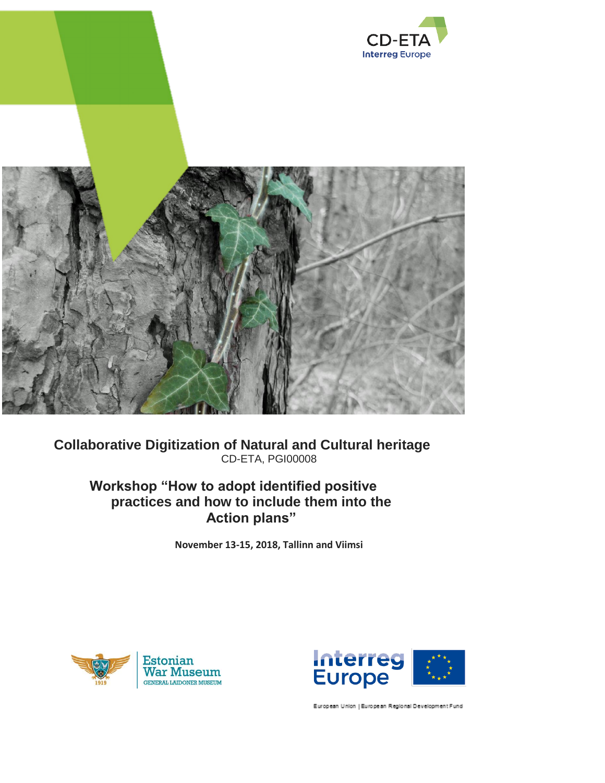

## **Collaborative Digitization of Natural and Cultural heritage** CD-ETA, PGI00008

# **Workshop "How to adopt identified positive practices and how to include them into the Action plans"**

**November 13-15, 2018, Tallinn and Viimsi**





European Union | European Regional Development Fund